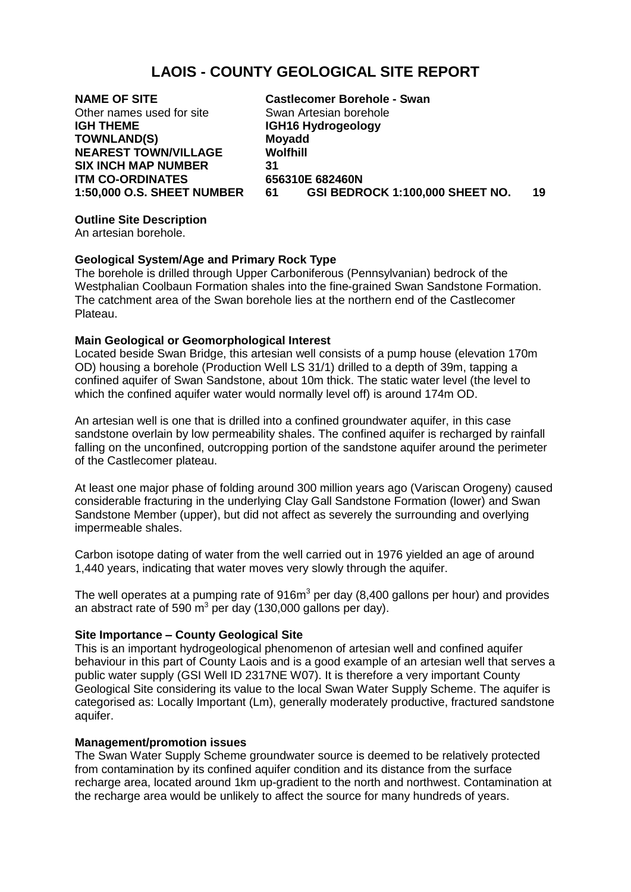# **LAOIS - COUNTY GEOLOGICAL SITE REPORT**

Other names used for site Swan Artesian borehole **IGH THEME IGH16 Hydrogeology TOWNLAND(S) Moyadd NEAREST TOWN/VILLAGE SIX INCH MAP NUMBER 31 ITM CO-ORDINATES 656310E 682460N**

**NAME OF SITE Castlecomer Borehole - Swan 1:50,000 O.S. SHEET NUMBER 61 GSI BEDROCK 1:100,000 SHEET NO. 19**

## **Outline Site Description**

An artesian borehole.

## **Geological System/Age and Primary Rock Type**

The borehole is drilled through Upper Carboniferous (Pennsylvanian) bedrock of the Westphalian Coolbaun Formation shales into the fine-grained Swan Sandstone Formation. The catchment area of the Swan borehole lies at the northern end of the Castlecomer Plateau.

## **Main Geological or Geomorphological Interest**

Located beside Swan Bridge, this artesian well consists of a pump house (elevation 170m OD) housing a borehole (Production Well LS 31/1) drilled to a depth of 39m, tapping a confined aquifer of Swan Sandstone, about 10m thick. The static water level (the level to which the confined aquifer water would normally level off) is around 174m OD.

An artesian well is one that is drilled into a confined groundwater aquifer, in this case sandstone overlain by low permeability shales. The confined aquifer is recharged by rainfall falling on the unconfined, outcropping portion of the sandstone aquifer around the perimeter of the Castlecomer plateau.

At least one major phase of folding around 300 million years ago (Variscan Orogeny) caused considerable fracturing in the underlying Clay Gall Sandstone Formation (lower) and Swan Sandstone Member (upper), but did not affect as severely the surrounding and overlying impermeable shales.

Carbon isotope dating of water from the well carried out in 1976 yielded an age of around 1,440 years, indicating that water moves very slowly through the aquifer.

The well operates at a pumping rate of  $916m<sup>3</sup>$  per day (8,400 gallons per hour) and provides an abstract rate of 590 m<sup>3</sup> per day (130,000 gallons per day).

#### **Site Importance – County Geological Site**

This is an important hydrogeological phenomenon of artesian well and confined aquifer behaviour in this part of County Laois and is a good example of an artesian well that serves a public water supply (GSI Well ID 2317NE W07). It is therefore a very important County Geological Site considering its value to the local Swan Water Supply Scheme. The aquifer is categorised as: Locally Important (Lm), generally moderately productive, fractured sandstone aquifer.

#### **Management/promotion issues**

The Swan Water Supply Scheme groundwater source is deemed to be relatively protected from contamination by its confined aquifer condition and its distance from the surface recharge area, located around 1km up-gradient to the north and northwest. Contamination at the recharge area would be unlikely to affect the source for many hundreds of years.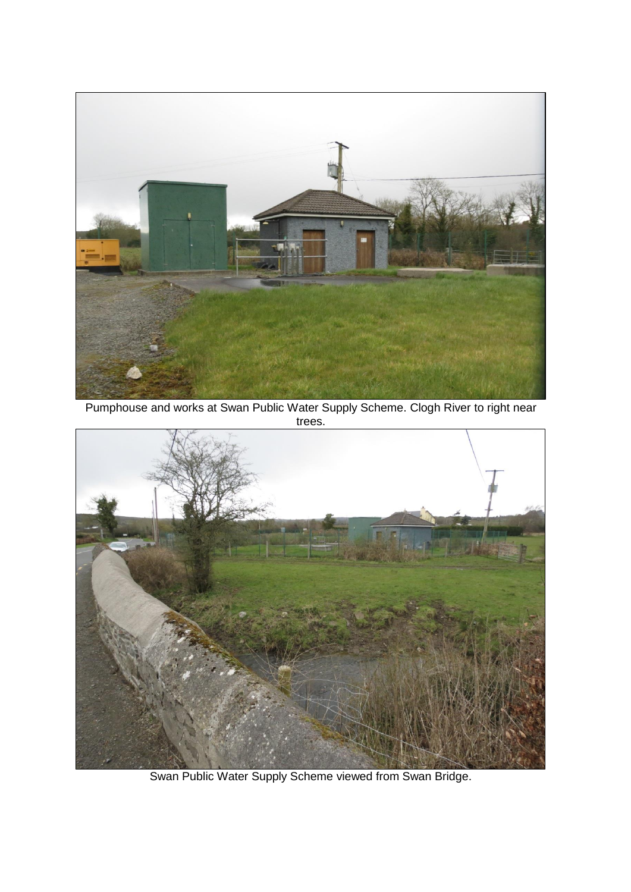

Pumphouse and works at Swan Public Water Supply Scheme. Clogh River to right near trees.



Swan Public Water Supply Scheme viewed from Swan Bridge.